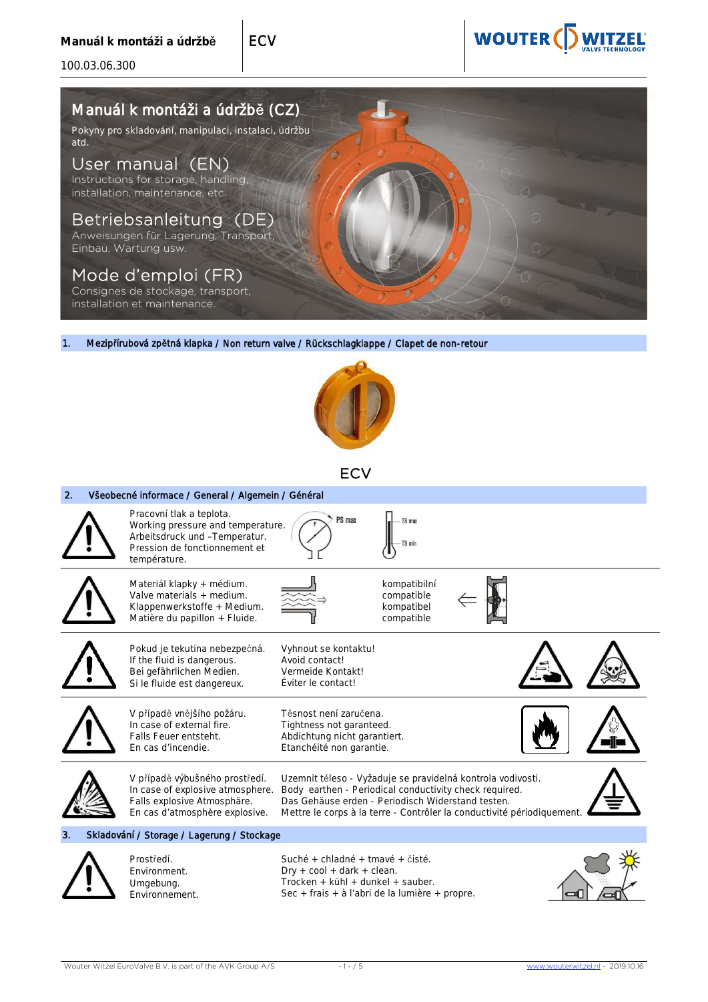100.03.06.300

# **WOUTER(I)**

# Manuál k montáži a údržbě (CZ)

Pokyny pro skladování, manipulaci, instalaci, údržbu atd.

## User manual (EN)

Instructions for storage, handling, installation, maintenance, etc.

### Betriebsanleitung (DE)

Anweisungen für Lagerung, Transport, Einbau, Wartung usw.

### Mode d'emploi (FR)

Consignes de stockage, transport, installation et maintenance.

1. Mezipřírubová zpětná klapka / Non return valve / Rückschlagklappe / Clapet de non-retour

**ECV** 

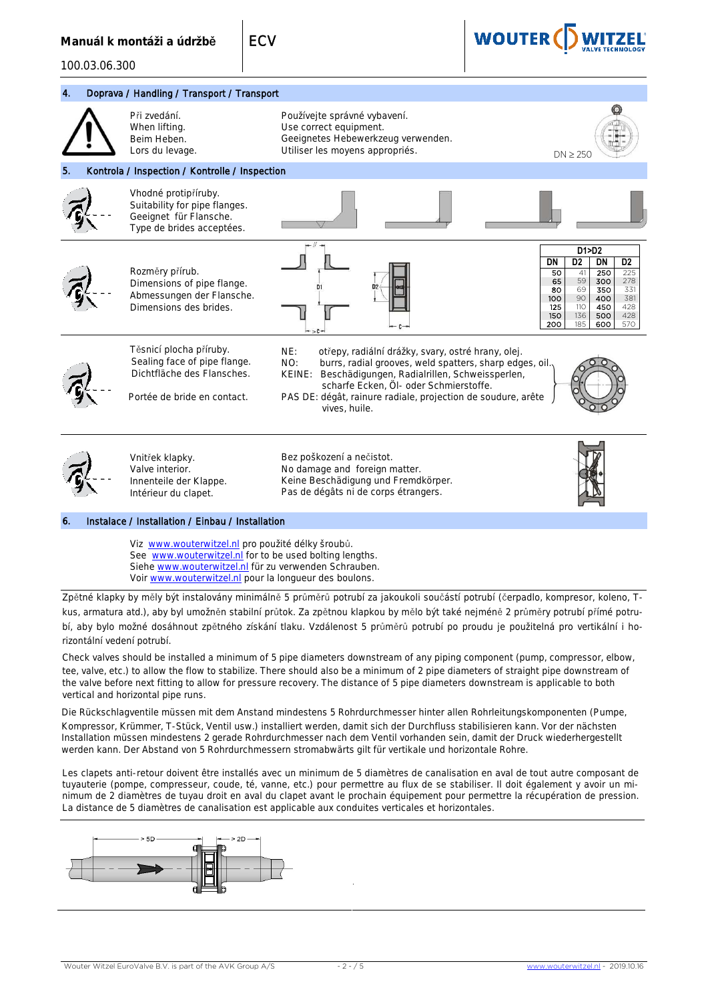100.03.06.300

Voir www.wouterwitzel.nl pour la longueur des boulons.



4. Doprava / Handling / Transport / Transport Při zvedání. When lifting. Beim Heben. Lors du levage. Používejte správné vybavení. Use correct equipment. Geeignetes Hebewerkzeug verwenden. Utiliser les moyens appropriés.<br>
DN > 250 5. Kontrola / Inspection / Kontrolle / Inspection Vhodné protipříruby. Suitability for pipe flanges. Geeignet für Flansche. Type de brides acceptées. Rozměry přírub. Dimensions of pipe flange. Abmessungen der Flansche. Dimensions des brides. Těsnicí plocha příruby. Sealing face of pipe flange. Dichtfläche des Flansches. Portée de bride en contact. NE: otřepy, radiální drážky, svary, ostré hrany, olej. NO: burrs, radial grooves, weld spatters, sharp edges, oil. Beschädigungen, Radialrillen, Schweissperlen, scharfe Ecken, Öl- oder Schmierstoffe. PAS DE: dégât, rainure radiale, projection de soudure, arête vives, huile. Vnitřek klapky. Valve interior. Innenteile der Klappe. Intérieur du clapet. Bez poškození a nečistot. No damage and foreign matter. Keine Beschädigung und Fremdkörper. Pas de dégâts ni de corps étrangers. 6. Instalace / Installation / Einbau / Installation Viz www.wouterwitzel.nl pro použité délky šroubů. See www.wouterwitzel.nl for to be used bolting lengths. Siehe www.wouterwitzel.nl für zu verwenden Schrauben. **D1>D2 DN D2 DN D2** 50 41 250 225<br>65 59 300 278 65 59 300 278<br>80 69 350 331<br>100 90 400 381 **80 69 350 331**<br>100 90 400 381 125 110 450 428 150 136 500 428 200

Zpětné klapky by měly být instalovány minimálně 5 průměrů potrubí za jakoukoli součástí potrubí (čerpadlo, kompresor, koleno, Tkus, armatura atd.), aby byl umožněn stabilní průtok. Za zpětnou klapkou by mělo být také nejméně 2 průměry potrubí přímé potrubí, aby bylo možné dosáhnout zpětného získání tlaku. Vzdálenost 5 průměrů potrubí po proudu je použitelná pro vertikální i horizontální vedení potrubí.

Check valves should be installed a minimum of 5 pipe diameters downstream of any piping component (pump, compressor, elbow, tee, valve, etc.) to allow the flow to stabilize. There should also be a minimum of 2 pipe diameters of straight pipe downstream of the valve before next fitting to allow for pressure recovery. The distance of 5 pipe diameters downstream is applicable to both vertical and horizontal pipe runs.

Die Rückschlagventile müssen mit dem Anstand mindestens 5 Rohrdurchmesser hinter allen Rohrleitungskomponenten (Pumpe, Kompressor, Krümmer, T-Stück, Ventil usw.) installiert werden, damit sich der Durchfluss stabilisieren kann. Vor der nächsten Installation müssen mindestens 2 gerade Rohrdurchmesser nach dem Ventil vorhanden sein, damit der Druck wiederhergestellt werden kann. Der Abstand von 5 Rohrdurchmessern stromabwärts gilt für vertikale und horizontale Rohre.

Les clapets anti-retour doivent être installés avec un minimum de 5 diamètres de canalisation en aval de tout autre composant de tuyauterie (pompe, compresseur, coude, té, vanne, etc.) pour permettre au flux de se stabiliser. Il doit également y avoir un minimum de 2 diamètres de tuyau droit en aval du clapet avant le prochain équipement pour permettre la récupération de pression. La distance de 5 diamètres de canalisation est applicable aux conduites verticales et horizontales.

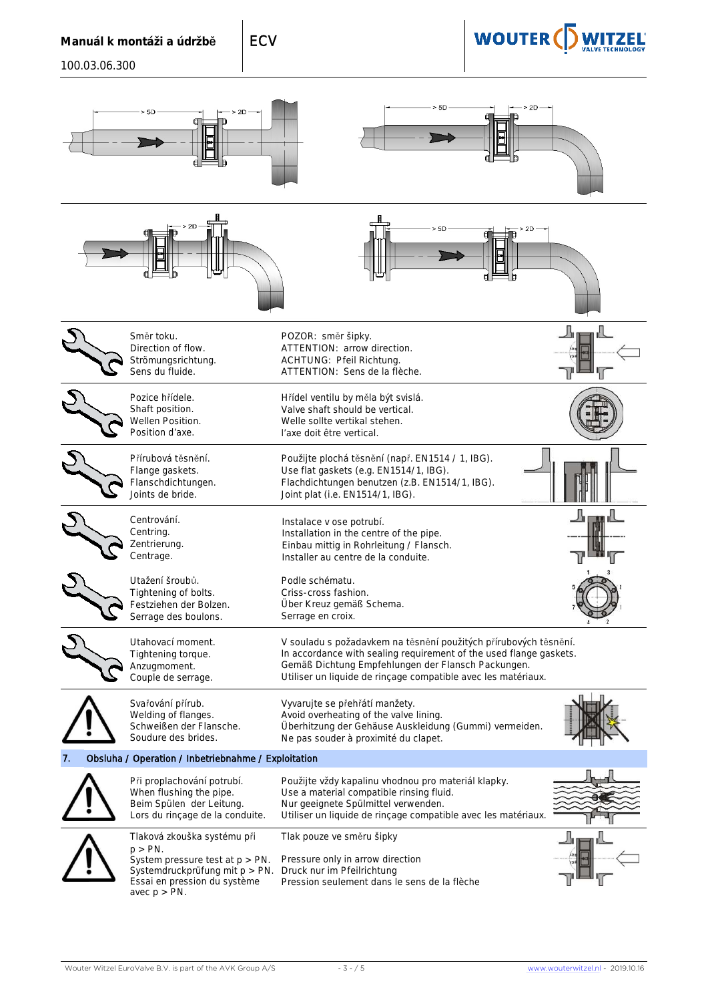# **WOUTER(D)**

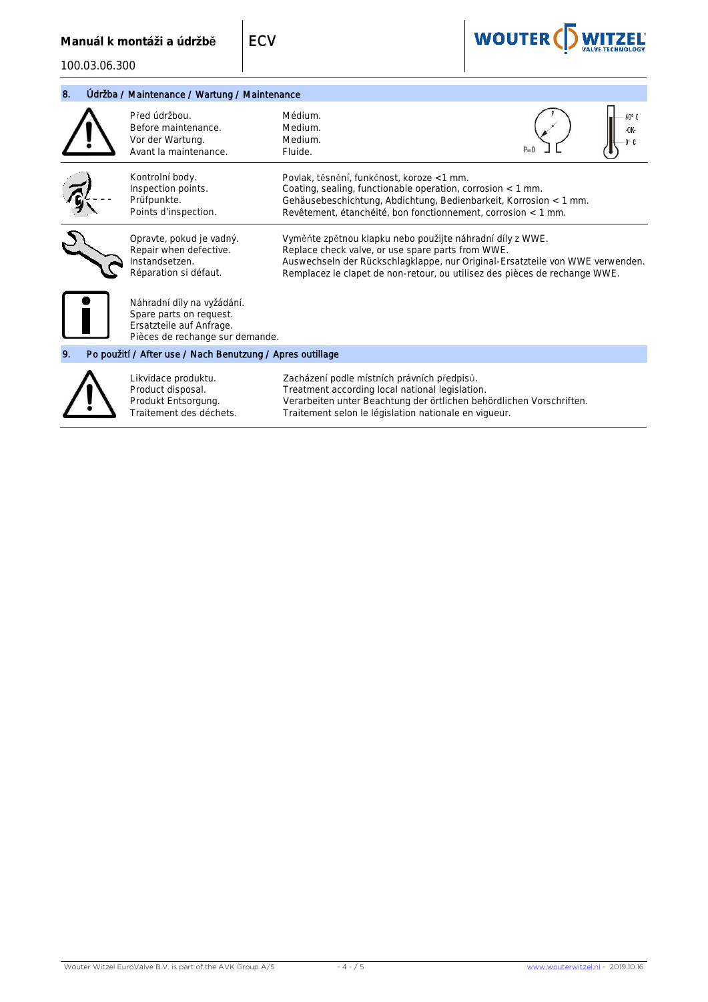| 8. | Údržba / Maintenance / Wartung / Maintenance              |                                                                                                                      |                                                                                                                                                                                                                                                                               |  |       |
|----|-----------------------------------------------------------|----------------------------------------------------------------------------------------------------------------------|-------------------------------------------------------------------------------------------------------------------------------------------------------------------------------------------------------------------------------------------------------------------------------|--|-------|
|    |                                                           | Před údržbou.<br>Before maintenance.<br>Vor der Wartung.<br>Avant la maintenance.                                    | Médium.<br>Medium.<br>Medium.<br>Fluide.                                                                                                                                                                                                                                      |  | 40° C |
|    |                                                           | Kontrolní body.<br>Inspection points.<br>Prüfpunkte.<br>Points d'inspection.                                         | Povlak, těsnění, funkčnost, koroze <1 mm.<br>Coating, sealing, functionable operation, corrosion $<$ 1 mm.<br>Gehäusebeschichtung, Abdichtung, Bedienbarkeit, Korrosion < 1 mm.<br>Revêtement, étanchéité, bon fonctionnement, corrosion < 1 mm.                              |  |       |
|    |                                                           | Opravte, pokud je vadný.<br>Repair when defective.<br>nstandsetzen.<br>Réparation si défaut.                         | Vyměňte zpětnou klapku nebo použijte náhradní díly z WWE.<br>Replace check valve, or use spare parts from WWE.<br>Auswechseln der Rückschlagklappe, nur Original-Ersatzteile von WWE verwenden.<br>Remplacez le clapet de non-retour, ou utilisez des pièces de rechange WWE. |  |       |
|    |                                                           | Náhradní díly na vyžádání.<br>Spare parts on request.<br>Ersatzteile auf Anfrage.<br>Pièces de rechange sur demande. |                                                                                                                                                                                                                                                                               |  |       |
| 9. | Po použití / After use / Nach Benutzung / Apres outillage |                                                                                                                      |                                                                                                                                                                                                                                                                               |  |       |
|    |                                                           | Likvidace produktu.<br>Product disposal.<br>Produkt Entsorgung.<br>Traitement des déchets.                           | Zacházení podle místních právních předpisů.<br>Treatment according local national legislation.<br>Verarbeiten unter Beachtung der örtlichen behördlichen Vorschriften.<br>Traitement selon le législation nationale en vigueur.                                               |  |       |